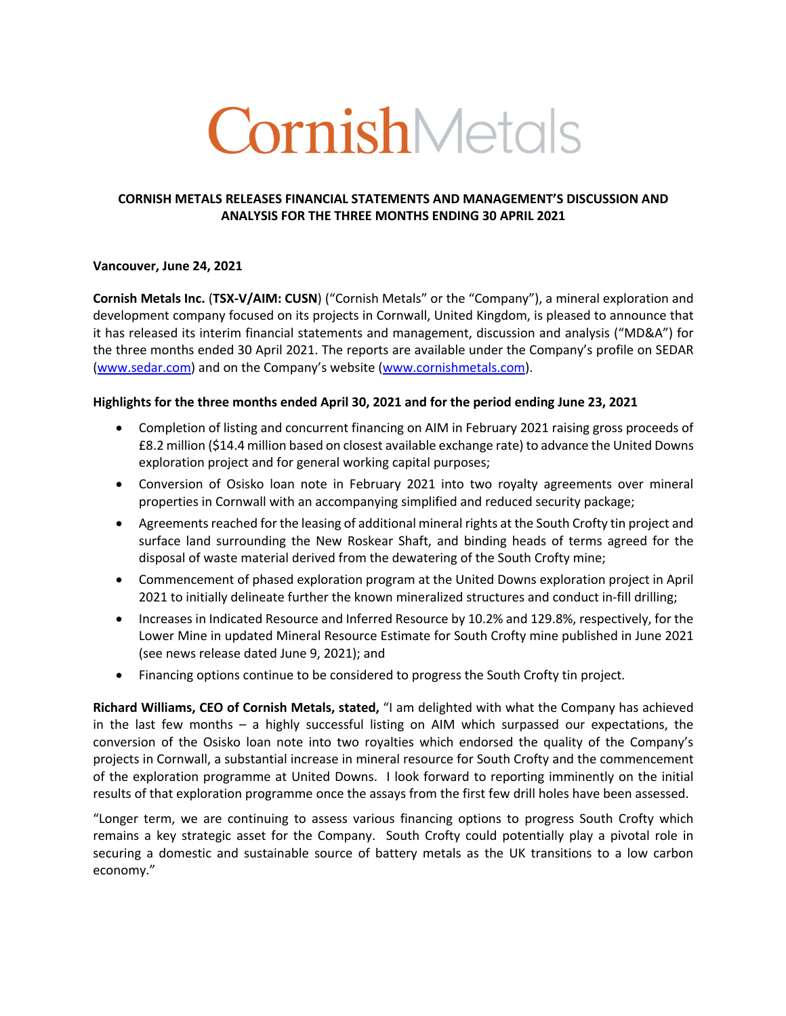# CornishMetals

#### **CORNISH METALS RELEASES FINANCIAL STATEMENTS AND MANAGEMENT'S DISCUSSION AND ANALYSIS FOR THE THREE MONTHS ENDING 30 APRIL 2021**

#### **Vancouver, June 24, 2021**

**Cornish Metals Inc.** (**TSX-V/AIM: CUSN**) ("Cornish Metals" or the "Company"), a mineral exploration and development company focused on its projects in Cornwall, United Kingdom, is pleased to announce that it has released its interim financial statements and management, discussion and analysis ("MD&A") for the three months ended 30 April 2021. The reports are available under the Company's profile on SEDAR (www.sedar.com) and on the Company's website (www.cornishmetals.com).

#### **Highlights for the three months ended April 30, 2021 and for the period ending June 23, 2021**

- Completion of listing and concurrent financing on AIM in February 2021 raising gross proceeds of £8.2 million (\$14.4 million based on closest available exchange rate) to advance the United Downs exploration project and for general working capital purposes;
- Conversion of Osisko loan note in February 2021 into two royalty agreements over mineral properties in Cornwall with an accompanying simplified and reduced security package;
- Agreements reached for the leasing of additional mineral rights at the South Crofty tin project and surface land surrounding the New Roskear Shaft, and binding heads of terms agreed for the disposal of waste material derived from the dewatering of the South Crofty mine;
- Commencement of phased exploration program at the United Downs exploration project in April 2021 to initially delineate further the known mineralized structures and conduct in-fill drilling;
- Increases in Indicated Resource and Inferred Resource by 10.2% and 129.8%, respectively, for the Lower Mine in updated Mineral Resource Estimate for South Crofty mine published in June 2021 (see news release dated June 9, 2021); and
- Financing options continue to be considered to progress the South Crofty tin project.

**Richard Williams, CEO of Cornish Metals, stated,** "I am delighted with what the Company has achieved in the last few months – a highly successful listing on AIM which surpassed our expectations, the conversion of the Osisko loan note into two royalties which endorsed the quality of the Company's projects in Cornwall, a substantial increase in mineral resource for South Crofty and the commencement of the exploration programme at United Downs. I look forward to reporting imminently on the initial results of that exploration programme once the assays from the first few drill holes have been assessed.

"Longer term, we are continuing to assess various financing options to progress South Crofty which remains a key strategic asset for the Company. South Crofty could potentially play a pivotal role in securing a domestic and sustainable source of battery metals as the UK transitions to a low carbon economy."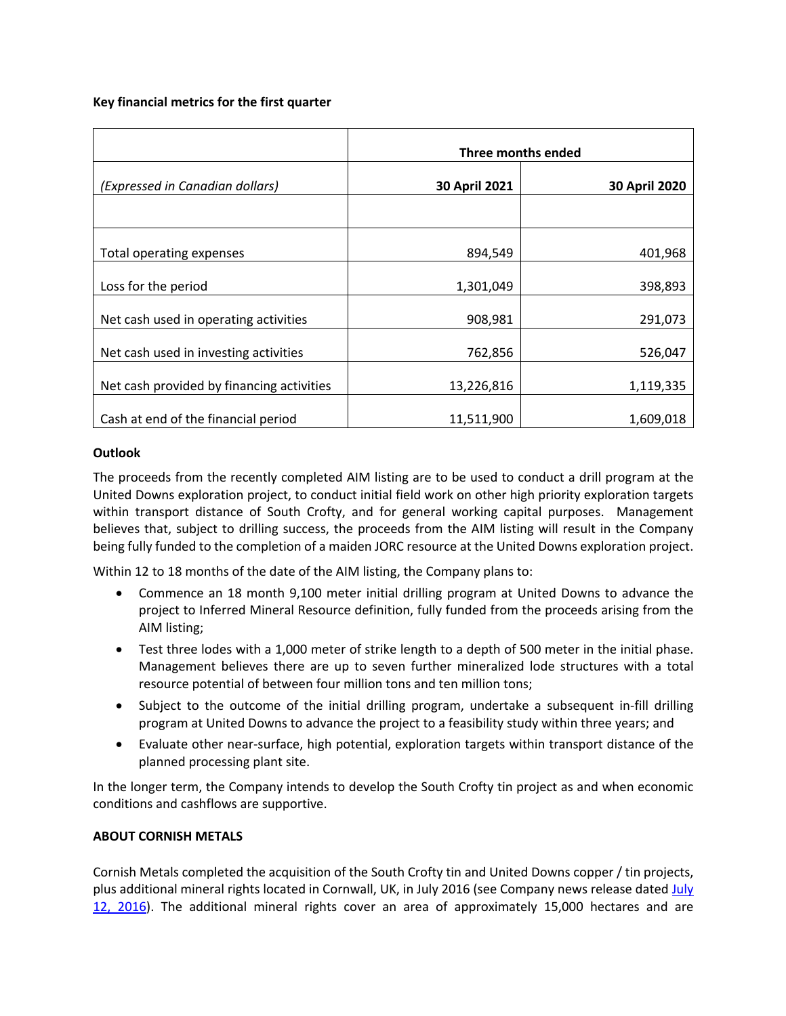#### **Key financial metrics for the first quarter**

|                                           | Three months ended |               |
|-------------------------------------------|--------------------|---------------|
| (Expressed in Canadian dollars)           | 30 April 2021      | 30 April 2020 |
|                                           |                    |               |
| Total operating expenses                  | 894,549            | 401,968       |
| Loss for the period                       | 1,301,049          | 398,893       |
| Net cash used in operating activities     | 908,981            | 291,073       |
| Net cash used in investing activities     | 762,856            | 526,047       |
| Net cash provided by financing activities | 13,226,816         | 1,119,335     |
| Cash at end of the financial period       | 11,511,900         | 1,609,018     |

### **Outlook**

The proceeds from the recently completed AIM listing are to be used to conduct a drill program at the United Downs exploration project, to conduct initial field work on other high priority exploration targets within transport distance of South Crofty, and for general working capital purposes. Management believes that, subject to drilling success, the proceeds from the AIM listing will result in the Company being fully funded to the completion of a maiden JORC resource at the United Downs exploration project.

Within 12 to 18 months of the date of the AIM listing, the Company plans to:

- Commence an 18 month 9,100 meter initial drilling program at United Downs to advance the project to Inferred Mineral Resource definition, fully funded from the proceeds arising from the AIM listing;
- Test three lodes with a 1,000 meter of strike length to a depth of 500 meter in the initial phase. Management believes there are up to seven further mineralized lode structures with a total resource potential of between four million tons and ten million tons;
- Subject to the outcome of the initial drilling program, undertake a subsequent in-fill drilling program at United Downs to advance the project to a feasibility study within three years; and
- Evaluate other near-surface, high potential, exploration targets within transport distance of the planned processing plant site.

In the longer term, the Company intends to develop the South Crofty tin project as and when economic conditions and cashflows are supportive.

## **ABOUT CORNISH METALS**

Cornish Metals completed the acquisition of the South Crofty tin and United Downs copper / tin projects, plus additional mineral rights located in Cornwall, UK, in July 2016 (see Company news release dated July 12, 2016). The additional mineral rights cover an area of approximately 15,000 hectares and are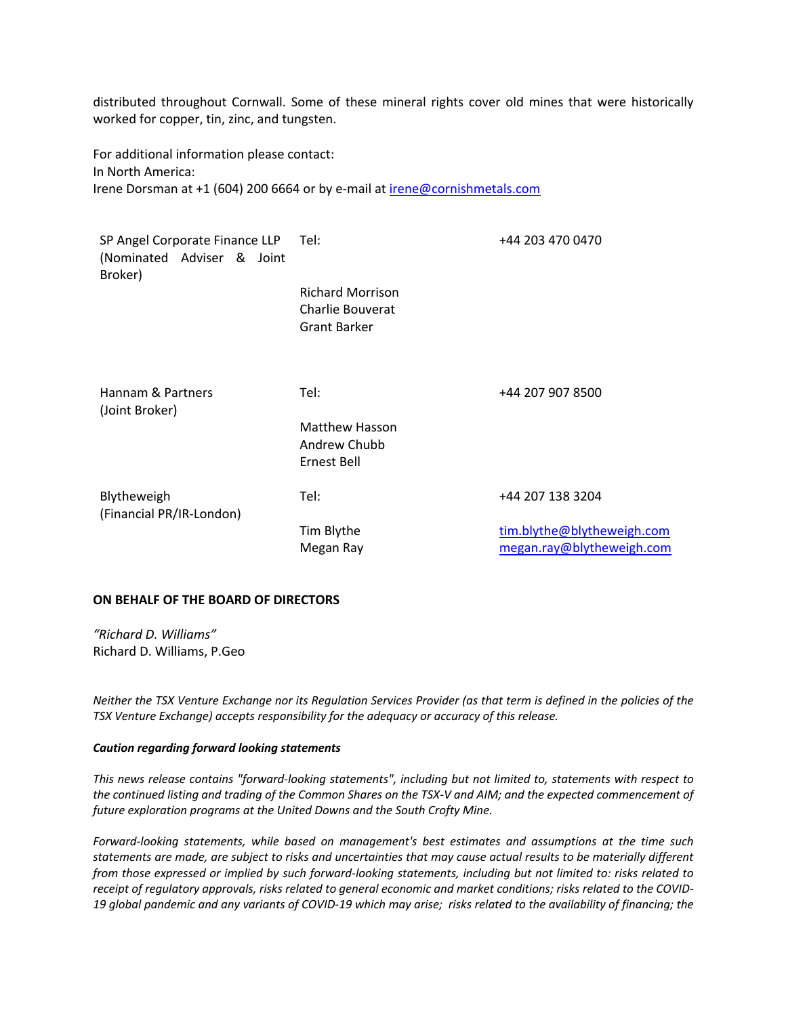distributed throughout Cornwall. Some of these mineral rights cover old mines that were historically worked for copper, tin, zinc, and tungsten.

For additional information please contact: In North America: Irene Dorsman at +1 (604) 200 6664 or by e-mail at irene@cornishmetals.com

| SP Angel Corporate Finance LLP Tel:<br>(Nominated Adviser & Joint<br>Broker) |                                                                    | +44 203 470 0470                                        |
|------------------------------------------------------------------------------|--------------------------------------------------------------------|---------------------------------------------------------|
|                                                                              | <b>Richard Morrison</b><br>Charlie Bouverat<br><b>Grant Barker</b> |                                                         |
| Hannam & Partners<br>(Joint Broker)                                          | Tel:<br><b>Matthew Hasson</b>                                      | +44 207 907 8500                                        |
|                                                                              | Andrew Chubb<br>Ernest Bell                                        |                                                         |
| Blytheweigh<br>(Financial PR/IR-London)                                      | Tel:                                                               | +44 207 138 3204                                        |
|                                                                              | Tim Blythe<br>Megan Ray                                            | tim.blythe@blytheweigh.com<br>megan.ray@blytheweigh.com |

#### **ON BEHALF OF THE BOARD OF DIRECTORS**

*"Richard D. Williams"* Richard D. Williams, P.Geo

*Neither the TSX Venture Exchange nor its Regulation Services Provider (as that term is defined in the policies of the TSX Venture Exchange) accepts responsibility for the adequacy or accuracy of this release.*

#### *Caution regarding forward looking statements*

*This news release contains "forward-looking statements", including but not limited to, statements with respect to the continued listing and trading of the Common Shares on the TSX-V and AIM; and the expected commencement of future exploration programs at the United Downs and the South Crofty Mine.*

*Forward-looking statements, while based on management's best estimates and assumptions at the time such statements are made, are subject to risks and uncertainties that may cause actual results to be materially different from those expressed or implied by such forward-looking statements, including but not limited to: risks related to receipt of regulatory approvals, risks related to general economic and market conditions; risks related to the COVID-19 global pandemic and any variants of COVID-19 which may arise; risks related to the availability of financing; the*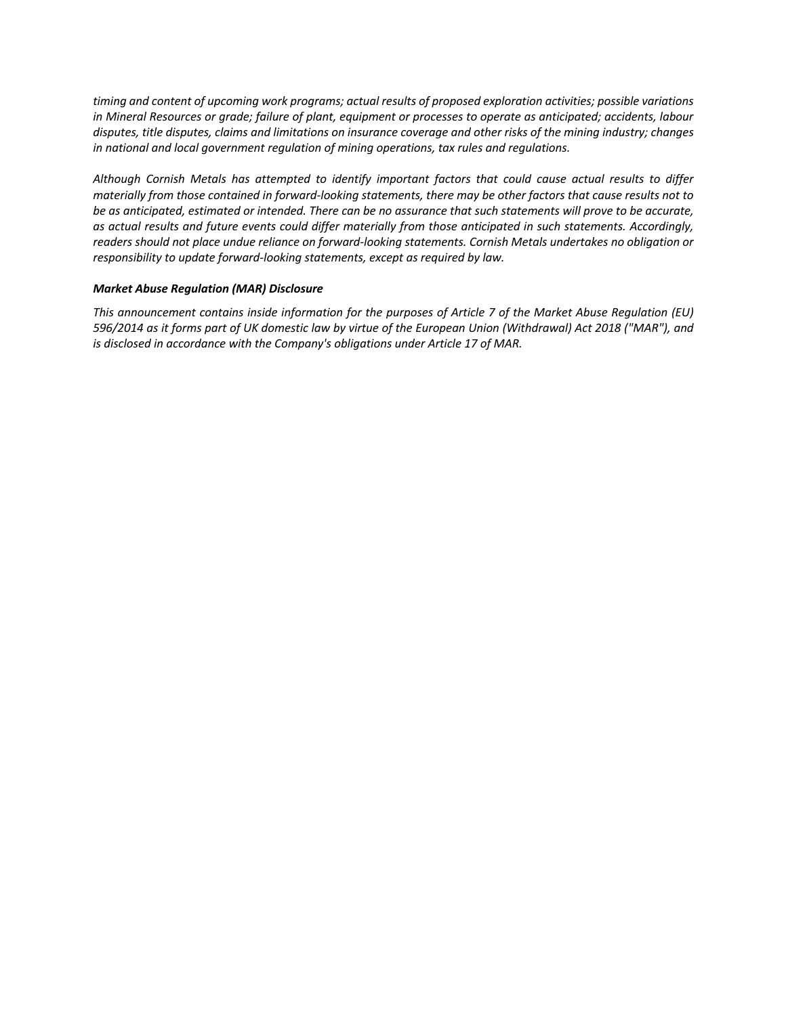*timing and content of upcoming work programs; actual results of proposed exploration activities; possible variations in Mineral Resources or grade; failure of plant, equipment or processes to operate as anticipated; accidents, labour disputes, title disputes, claims and limitations on insurance coverage and other risks of the mining industry; changes in national and local government regulation of mining operations, tax rules and regulations.* 

*Although Cornish Metals has attempted to identify important factors that could cause actual results to differ materially from those contained in forward-looking statements, there may be other factors that cause results not to be as anticipated, estimated or intended. There can be no assurance that such statements will prove to be accurate, as actual results and future events could differ materially from those anticipated in such statements. Accordingly, readers should not place undue reliance on forward-looking statements. Cornish Metals undertakes no obligation or responsibility to update forward-looking statements, except as required by law.*

#### *Market Abuse Regulation (MAR) Disclosure*

*This announcement contains inside information for the purposes of Article 7 of the Market Abuse Regulation (EU) 596/2014 as it forms part of UK domestic law by virtue of the European Union (Withdrawal) Act 2018 ("MAR"), and is disclosed in accordance with the Company's obligations under Article 17 of MAR.*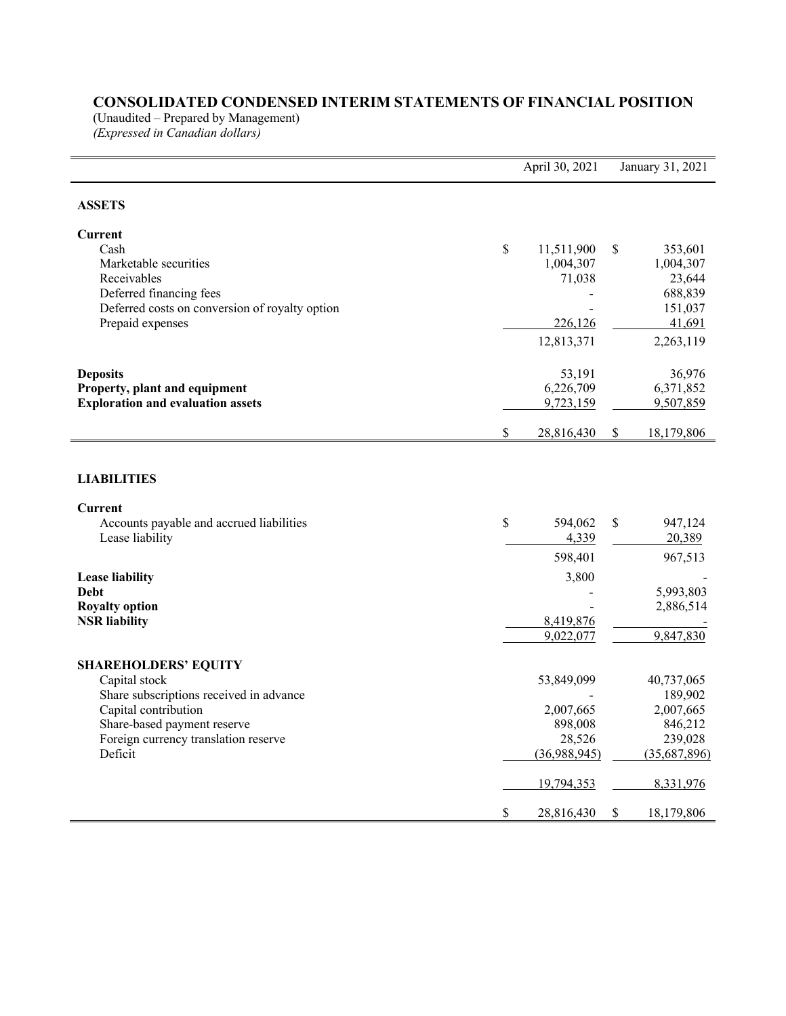# **CONSOLIDATED CONDENSED INTERIM STATEMENTS OF FINANCIAL POSITION**

(Unaudited – Prepared by Management)

*(Expressed in Canadian dollars)*

|                                                     | April 30, 2021   | January 31, 2021 |
|-----------------------------------------------------|------------------|------------------|
| <b>ASSETS</b>                                       |                  |                  |
| Current                                             |                  |                  |
| Cash                                                | \$<br>11,511,900 | \$<br>353,601    |
| Marketable securities                               | 1,004,307        | 1,004,307        |
| Receivables                                         | 71,038           | 23,644           |
| Deferred financing fees                             |                  | 688,839          |
| Deferred costs on conversion of royalty option      |                  | 151,037          |
| Prepaid expenses                                    | 226,126          | 41,691           |
|                                                     | 12,813,371       | 2,263,119        |
| <b>Deposits</b>                                     | 53,191           | 36,976           |
| Property, plant and equipment                       | 6,226,709        | 6,371,852        |
| <b>Exploration and evaluation assets</b>            | 9,723,159        | 9,507,859        |
|                                                     | \$<br>28,816,430 | \$<br>18,179,806 |
| <b>LIABILITIES</b>                                  |                  |                  |
| Current<br>Accounts payable and accrued liabilities | \$<br>594,062    | \$<br>947,124    |
| Lease liability                                     | 4,339            | 20,389           |
|                                                     |                  |                  |
|                                                     | 598,401          | 967,513          |
| <b>Lease liability</b>                              | 3,800            |                  |
| <b>Debt</b>                                         |                  | 5,993,803        |
| <b>Royalty option</b>                               |                  | 2,886,514        |
| <b>NSR</b> liability                                | 8,419,876        |                  |
|                                                     | 9,022,077        | 9,847,830        |
| <b>SHAREHOLDERS' EQUITY</b>                         |                  |                  |
| Capital stock                                       | 53,849,099       | 40,737,065       |
| Share subscriptions received in advance             |                  | 189,902          |
| Capital contribution                                | 2,007,665        | 2,007,665        |
| Share-based payment reserve                         | 898,008          | 846,212          |
| Foreign currency translation reserve                | 28,526           | 239,028          |
| Deficit                                             | (36,988,945)     | (35,687,896)     |
|                                                     | 19,794,353       | 8,331,976        |
|                                                     | \$<br>28,816,430 | \$<br>18,179,806 |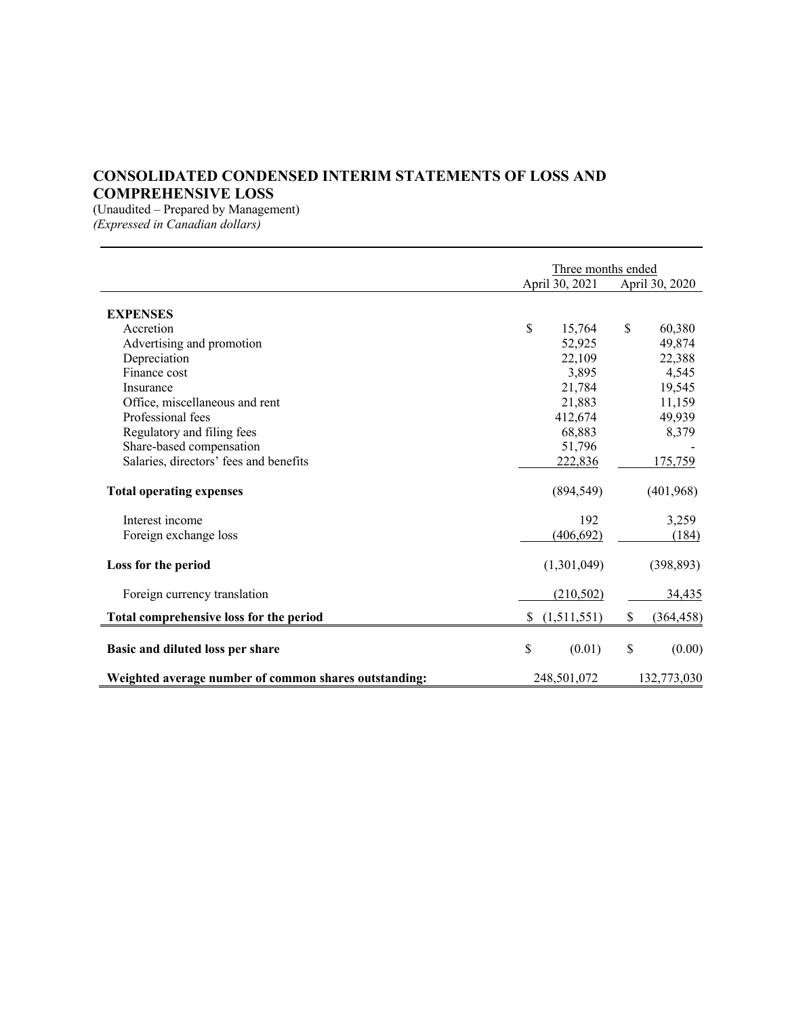## **CONSOLIDATED CONDENSED INTERIM STATEMENTS OF LOSS AND COMPREHENSIVE LOSS**

(Unaudited – Prepared by Management) *(Expressed in Canadian dollars)*

|                                                       |    | Three months ended |                  |
|-------------------------------------------------------|----|--------------------|------------------|
|                                                       |    | April 30, 2021     | April 30, 2020   |
| <b>EXPENSES</b>                                       |    |                    |                  |
| Accretion                                             | \$ | 15,764             | \$<br>60,380     |
| Advertising and promotion                             |    | 52,925             | 49,874           |
| Depreciation                                          |    | 22,109             | 22,388           |
| Finance cost                                          |    | 3,895              | 4,545            |
| Insurance                                             |    | 21,784             | 19,545           |
| Office, miscellaneous and rent                        |    | 21,883             | 11,159           |
| Professional fees                                     |    | 412,674            | 49,939           |
| Regulatory and filing fees                            |    | 68,883             | 8,379            |
| Share-based compensation                              |    | 51,796             |                  |
| Salaries, directors' fees and benefits                |    | 222,836            | 175,759          |
| <b>Total operating expenses</b>                       |    | (894, 549)         | (401,968)        |
| Interest income                                       |    | 192                | 3,259            |
| Foreign exchange loss                                 |    | (406, 692)         | (184)            |
| Loss for the period                                   |    | (1,301,049)        | (398, 893)       |
| Foreign currency translation                          |    | (210, 502)         | 34,435           |
| Total comprehensive loss for the period               | S. | (1,511,551)        | \$<br>(364, 458) |
| Basic and diluted loss per share                      | \$ | (0.01)             | \$<br>(0.00)     |
| Weighted average number of common shares outstanding: |    | 248,501,072        | 132,773,030      |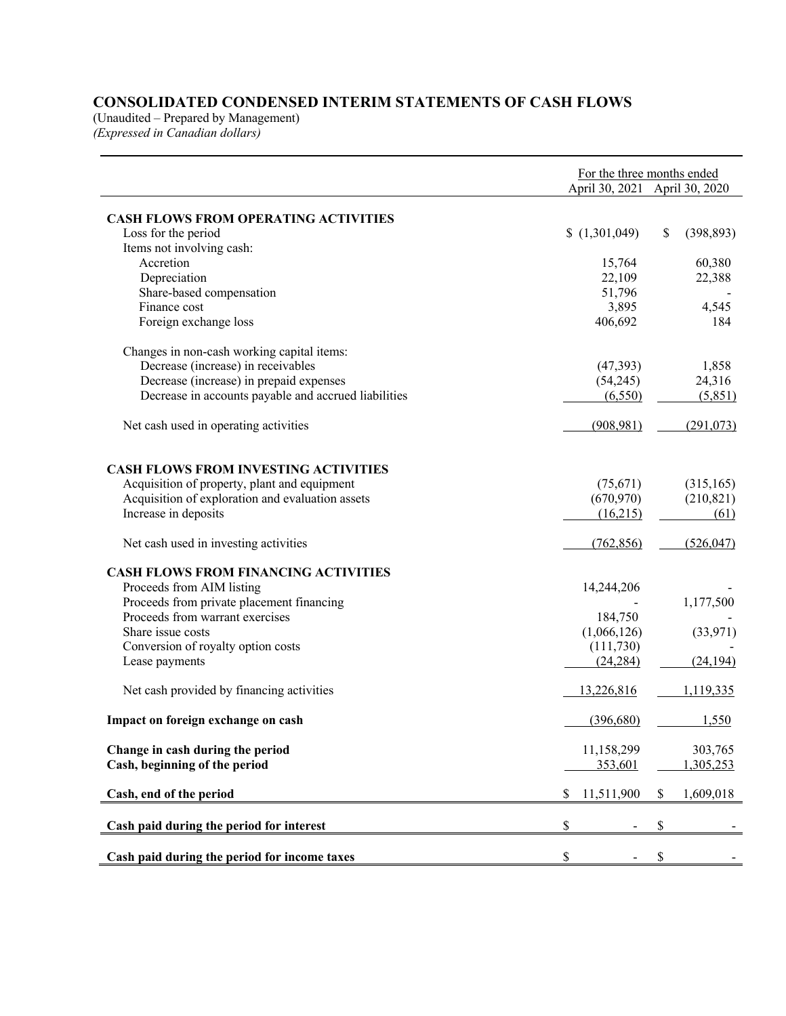## **CONSOLIDATED CONDENSED INTERIM STATEMENTS OF CASH FLOWS**

(Unaudited – Prepared by Management) *(Expressed in Canadian dollars)*

|                                                      | For the three months ended<br>April 30, 2021 April 30, 2020 |                  |
|------------------------------------------------------|-------------------------------------------------------------|------------------|
|                                                      |                                                             |                  |
| <b>CASH FLOWS FROM OPERATING ACTIVITIES</b>          |                                                             |                  |
| Loss for the period                                  | (1,301,049)                                                 | \$<br>(398, 893) |
| Items not involving cash:                            |                                                             |                  |
| Accretion                                            | 15,764                                                      | 60,380           |
| Depreciation                                         | 22,109                                                      | 22,388           |
| Share-based compensation                             | 51,796                                                      |                  |
| Finance cost                                         | 3,895                                                       | 4,545            |
| Foreign exchange loss                                | 406,692                                                     | 184              |
| Changes in non-cash working capital items:           |                                                             |                  |
| Decrease (increase) in receivables                   | (47, 393)                                                   | 1,858            |
| Decrease (increase) in prepaid expenses              | (54,245)                                                    | 24,316           |
| Decrease in accounts payable and accrued liabilities | (6,550)                                                     | (5,851)          |
| Net cash used in operating activities                | (908, 981)                                                  | (291,073)        |
|                                                      |                                                             |                  |
| <b>CASH FLOWS FROM INVESTING ACTIVITIES</b>          |                                                             |                  |
| Acquisition of property, plant and equipment         | (75,671)                                                    | (315, 165)       |
| Acquisition of exploration and evaluation assets     | (670, 970)                                                  | (210, 821)       |
| Increase in deposits                                 | (16,215)                                                    | (61)             |
| Net cash used in investing activities                | (762, 856)                                                  | (526, 047)       |
| <b>CASH FLOWS FROM FINANCING ACTIVITIES</b>          |                                                             |                  |
| Proceeds from AIM listing                            | 14,244,206                                                  |                  |
| Proceeds from private placement financing            |                                                             | 1,177,500        |
| Proceeds from warrant exercises                      | 184,750                                                     |                  |
| Share issue costs                                    | (1,066,126)                                                 | (33,971)         |
| Conversion of royalty option costs                   | (111,730)                                                   |                  |
| Lease payments                                       | (24, 284)                                                   | (24, 194)        |
| Net cash provided by financing activities            | 13,226,816                                                  | 1,119,335        |
| Impact on foreign exchange on cash                   | (396,680)                                                   | 1,550            |
| Change in cash during the period                     | 11,158,299                                                  | 303,765          |
| Cash, beginning of the period                        | 353,601                                                     | 1,305,253        |
| Cash, end of the period                              | \$<br>11,511,900                                            | \$<br>1,609,018  |
| Cash paid during the period for interest             | \$                                                          | \$               |
|                                                      |                                                             |                  |
| Cash paid during the period for income taxes         | \$                                                          | \$               |